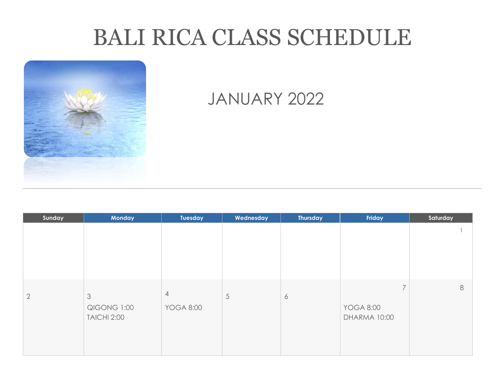# BALI RICA CLASS SCHEDULE



# JANUARY 2022

| Sunday         | <b>Monday</b>                                       | <b>Tuesday</b>                     | Wednesday | <b>Thursday</b> | Friday                                             | Saturday |
|----------------|-----------------------------------------------------|------------------------------------|-----------|-----------------|----------------------------------------------------|----------|
|                |                                                     |                                    |           |                 |                                                    |          |
| $\overline{2}$ | $\mathfrak{Z}$<br>QIGONG 1:00<br><b>TAICHI 2:00</b> | $\overline{4}$<br><b>YOGA 8:00</b> | 5         | 6               | $\overline{ }$<br><b>YOGA 8:00</b><br>DHARMA 10:00 | $\,8\,$  |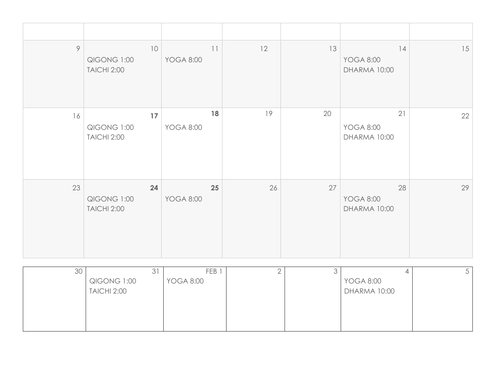| 9  | 10<br>QIGONG 1:00<br><b>TAICHI 2:00</b> | 11<br><b>YOGA 8:00</b> | 12 | 13 | 14<br><b>YOGA 8:00</b><br>DHARMA 10:00 | 15 |
|----|-----------------------------------------|------------------------|----|----|----------------------------------------|----|
| 16 | 17<br>QIGONG 1:00<br><b>TAICHI 2:00</b> | 18<br><b>YOGA 8:00</b> | 19 | 20 | 21<br><b>YOGA 8:00</b><br>DHARMA 10:00 | 22 |
| 23 | 24<br>QIGONG 1:00<br><b>TAICHI 2:00</b> | 25<br><b>YOGA 8:00</b> | 26 | 27 | 28<br><b>YOGA 8:00</b><br>DHARMA 10:00 | 29 |

| 30 | 31                 | FEB <sup>1</sup> |  |                  | ◡ |
|----|--------------------|------------------|--|------------------|---|
|    | QIGONG 1:00        | <b>YOGA 8:00</b> |  | <b>YOGA 8:00</b> |   |
|    | <b>TAICHI 2:00</b> |                  |  | DHARMA 10:00     |   |
|    |                    |                  |  |                  |   |
|    |                    |                  |  |                  |   |
|    |                    |                  |  |                  |   |
|    |                    |                  |  |                  |   |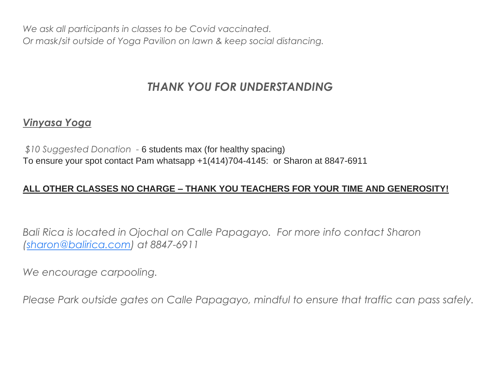*We ask all participants in classes to be Covid vaccinated. Or mask/sit outside of Yoga Pavilion on lawn & keep social distancing.*

## *THANK YOU FOR UNDERSTANDING*

### *Vinyasa Yoga*

*\$10 Suggested Donation -* 6 students max (for healthy spacing) To ensure your spot contact Pam whatsapp +1(414)704-4145: or Sharon at 8847-6911

#### **ALL OTHER CLASSES NO CHARGE – THANK YOU TEACHERS FOR YOUR TIME AND GENEROSITY!**

*Bali Rica is located in Ojochal on Calle Papagayo. For more info contact Sharon [\(sharon@balirica.com\)](mailto:sharon@balirica.com) at 8847-6911*

*We encourage carpooling.*

*Please Park outside gates on Calle Papagayo, mindful to ensure that traffic can pass safely.*